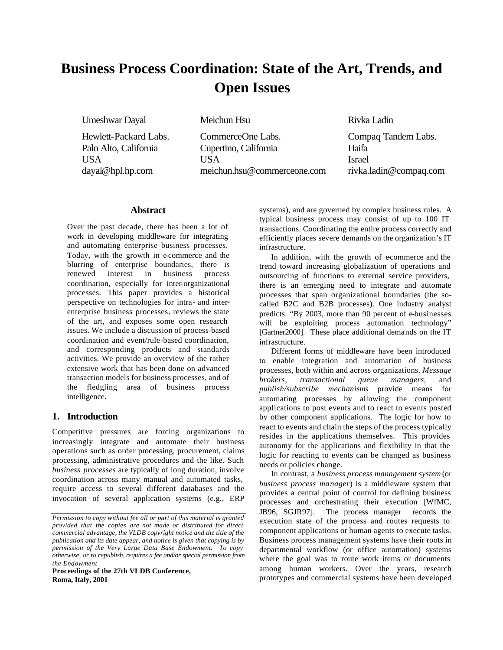# **Business Process Coordination: State of the Art, Trends, and Open Issues**

Umeshwar Dayal Meichun Hsu Rivka Ladin

Hewlett-Packard Labs. CommerceOne Labs. Compaq Tandem Labs. Palo Alto, California Cupertino, California Haifa USA USA Israel dayal@hpl.hp.com meichun.hsu@commerceone.com rivka.ladin@compaq.com

### **Abstract**

Over the past decade, there has been a lot of work in developing middleware for integrating and automating enterprise business processes. Today, with the growth in e-commerce and the blurring of enterprise boundaries, there is renewed interest in business process coordination, especially for inter-organizational processes. This paper provides a historical perspective on technologies for intra- and interenterprise business processes, reviews the state of the art, and exposes some open research issues. We include a discussion of process-based coordination and event/rule-based coordination, and corresponding products and standards activities. We provide an overview of the rather extensive work that has been done on advanced transaction models for business processes, and of the fledgling area of business process intelligence.

# **1. Introduction**

Competitive pressures are forcing organizations to increasingly integrate and automate their business operations such as order processing, procurement, claims processing, administrative procedures and the like. Such *business processes* are typically of long duration, involve coordination across many manual and automated tasks, require access to several different databases and the invocation of several application systems (e.g., ERP

**Proceedings of the 27th VLDB Conference, Roma, Italy, 2001**

systems), and are governed by complex business rules. A typical business process may consist of up to 100 IT transactions. Coordinating the entire process correctly and efficiently places severe demands on the organization's IT infrastructure.

In addition, with the growth of e-commerce and the trend toward increasing globalization of operations and outsourcing of functions to external service providers, there is an emerging need to integrate and automate processes that span organizational boundaries (the socalled B2C and B2B processes). One industry analyst predicts: "By 2003, more than 90 percent of e-businesses will be exploiting process automation technology" [Gartner2000]. These place additional demands on the IT infrastructure.

Different forms of middleware have been introduced to enable integration and automation of business processes, both within and across organizations. *Message brokers, transactional queue managers,* and *publish/subscribe mechanisms* provide means for automating processes by allowing the component applications to post events and to react to events posted by other component applications. The logic for how to react to events and chain the steps of the process typically resides in the applications themselves. This provides autonomy for the applications and flexibility in that the logic for reacting to events can be changed as business needs or policies change.

In contrast, a *business process management system* (or *business process manager*) is a middleware system that provides a central point of control for defining business processes and orchestrating their execution [WfMC, JB96, SGJR97]. The process manager records the execution state of the process and routes requests to component applications or human agents to execute tasks. Business process management systems have their roots in departmental workflow (or office automation) systems where the goal was to route work items or documents among human workers. Over the years, research prototypes and commercial systems have been developed

*Permission to copy without fee all or part of this material is granted provided that the copies are not made or distributed for direct commercial advantage, the VLDB copyright notice and the title of the publication and its date appear, and notice is given that copying is by permission of the Very Large Data Base Endowment. To copy otherwise, or to republish, requires a fee and/or special permission from the Endowment*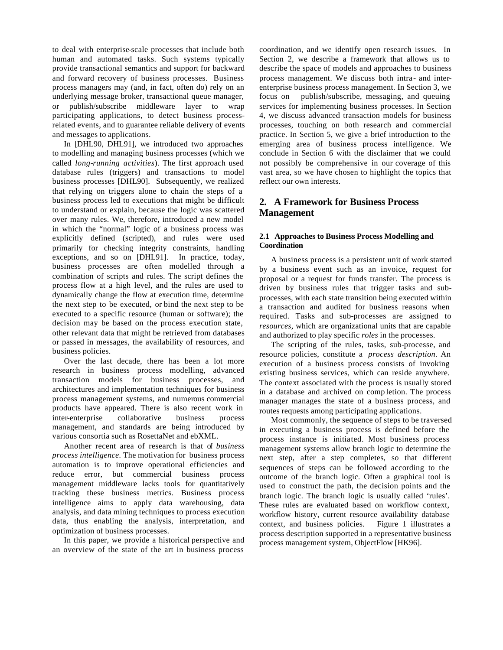to deal with enterprise-scale processes that include both human and automated tasks. Such systems typically provide transactional semantics and support for backward and forward recovery of business processes. Business process managers may (and, in fact, often do) rely on an underlying message broker, transactional queue manager, or publish/subscribe middleware layer to wrap participating applications, to detect business processrelated events, and to guarantee reliable delivery of events and messages to applications.

In [DHL90, DHL91], we introduced two approaches to modelling and managing business processes (which we called *long-running activities*). The first approach used database rules (triggers) and transactions to model business processes [DHL90]. Subsequently, we realized that relying on triggers alone to chain the steps of a business process led to executions that might be difficult to understand or explain, because the logic was scattered over many rules. We, therefore, introduced a new model in which the "normal" logic of a business process was explicitly defined (scripted), and rules were used primarily for checking integrity constraints, handling exceptions, and so on [DHL91]. In practice, today, business processes are often modelled through a combination of scripts and rules. The script defines the process flow at a high level, and the rules are used to dynamically change the flow at execution time, determine the next step to be executed, or bind the next step to be executed to a specific resource (human or software); the decision may be based on the process execution state, other relevant data that might be retrieved from databases or passed in messages, the availability of resources, and business policies.

Over the last decade, there has been a lot more research in business process modelling, advanced transaction models for business processes, and architectures and implementation techniques for business process management systems, and numerous commercial products have appeared. There is also recent work in inter-enterprise collaborative business process management, and standards are being introduced by various consortia such as RosettaNet and ebXML.

Another recent area of research is that of *business process intelligence.* The motivation for business process automation is to improve operational efficiencies and reduce error, but commercial business process management middleware lacks tools for quantitatively tracking these business metrics. Business process intelligence aims to apply data warehousing, data analysis, and data mining techniques to process execution data, thus enabling the analysis, interpretation, and optimization of business processes.

In this paper, we provide a historical perspective and an overview of the state of the art in business process

coordination, and we identify open research issues. In Section 2, we describe a framework that allows us to describe the space of models and approaches to business process management. We discuss both intra- and interenterprise business process management. In Section 3, we focus on publish/subscribe, messaging, and queuing services for implementing business processes. In Section 4, we discuss advanced transaction models for business processes, touching on both research and commercial practice. In Section 5, we give a brief introduction to the emerging area of business process intelligence. We conclude in Section 6 with the disclaimer that we could not possibly be comprehensive in our coverage of this vast area, so we have chosen to highlight the topics that reflect our own interests.

# **2. A Framework for Business Process Management**

### **2.1 Approaches to Business Process Modelling and Coordination**

A business process is a persistent unit of work started by a business event such as an invoice, request for proposal or a request for funds transfer. The process is driven by business rules that trigger tasks and subprocesses, with each state transition being executed within a transaction and audited for business reasons when required. Tasks and sub-processes are assigned to *resources*, which are organizational units that are capable and authorized to play specific *roles* in the processes.

The scripting of the rules, tasks, sub-processe, and resource policies, constitute a *process description*. An execution of a business process consists of invoking existing business services, which can reside anywhere. The context associated with the process is usually stored in a database and archived on comp letion. The process manager manages the state of a business process, and routes requests among participating applications.

Most commonly, the sequence of steps to be traversed in executing a business process is defined before the process instance is initiated. Most business process management systems allow branch logic to determine the next step, after a step completes, so that different sequences of steps can be followed according to the outcome of the branch logic. Often a graphical tool is used to construct the path, the decision points and the branch logic. The branch logic is usually called 'rules'. These rules are evaluated based on workflow context, workflow history, current resource availability database context, and business policies. Figure 1 illustrates a process description supported in a representative business process management system, ObjectFlow [HK96].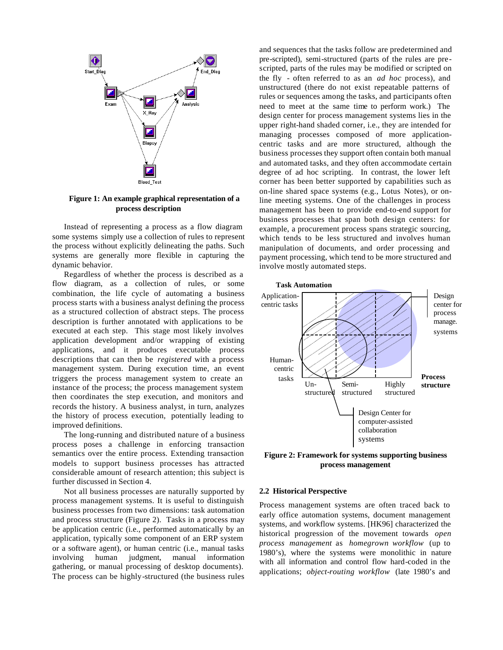

### **Figure 1: An example graphical representation of a process description**

Instead of representing a process as a flow diagram some systems simply use a collection of rules to represent the process without explicitly delineating the paths. Such systems are generally more flexible in capturing the dynamic behavior.

Regardless of whether the process is described as a flow diagram, as a collection of rules, or some combination, the life cycle of automating a business process starts with a business analyst defining the process as a structured collection of abstract steps. The process description is further annotated with applications to be executed at each step. This stage most likely involves application development and/or wrapping of existing applications, and it produces executable process descriptions that can then be *registered* with a process management system. During execution time, an event triggers the process management system to create an instance of the process; the process management system then coordinates the step execution, and monitors and records the history. A business analyst, in turn, analyzes the history of process execution, potentially leading to improved definitions.

The long-running and distributed nature of a business process poses a challenge in enforcing transaction semantics over the entire process. Extending transaction models to support business processes has attracted considerable amount of research attention; this subject is further discussed in Section 4.

Not all business processes are naturally supported by process management systems. It is useful to distinguish business processes from two dimensions: task automation and process structure (Figure 2). Tasks in a process may be application centric (i.e., performed automatically by an application, typically some component of an ERP system or a software agent), or human centric (i.e., manual tasks involving human judgment, manual information gathering, or manual processing of desktop documents). The process can be highly-structured (the business rules

and sequences that the tasks follow are predetermined and pre-scripted), semi-structured (parts of the rules are prescripted, parts of the rules may be modified or scripted on the fly - often referred to as an *ad hoc* process), and unstructured (there do not exist repeatable patterns of rules or sequences among the tasks, and participants often need to meet at the same time to perform work.) The design center for process management systems lies in the upper right-hand shaded corner, i.e., they are intended for managing processes composed of more applicationcentric tasks and are more structured, although the business processes they support often contain both manual and automated tasks, and they often accommodate certain degree of ad hoc scripting. In contrast, the lower left corner has been better supported by capabilities such as on-line shared space systems (e.g., Lotus Notes), or online meeting systems. One of the challenges in process management has been to provide end-to-end support for business processes that span both design centers: for example, a procurement process spans strategic sourcing, which tends to be less structured and involves human manipulation of documents, and order processing and payment processing, which tend to be more structured and involve mostly automated steps.



**Figure 2: Framework for systems supporting business process management**

### **2.2 Historical Perspective**

Process management systems are often traced back to early office automation systems, document management systems, and workflow systems. [HK96] characterized the historical progression of the movement towards *open process management* as *homegrown workflow* (up to 1980's), where the systems were monolithic in nature with all information and control flow hard-coded in the applications; *object-routing workflow* (late 1980's and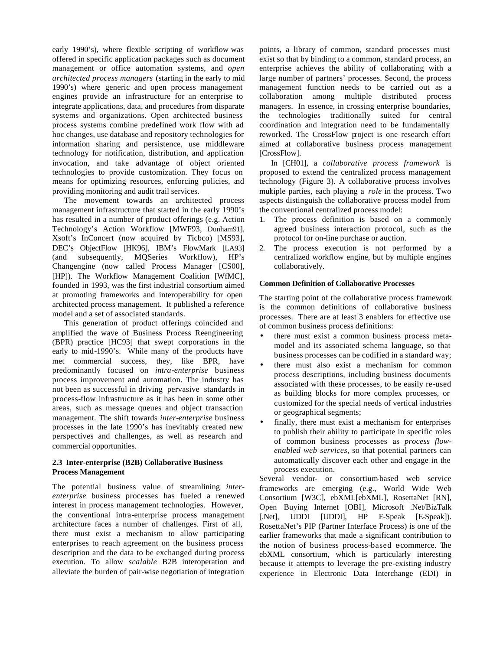early 1990's), where flexible scripting of workflow was offered in specific application packages such as document management or office automation systems, and *open architected process managers* (starting in the early to mid 1990's) where generic and open process management engines provide an infrastructure for an enterprise to integrate applications, data, and procedures from disparate systems and organizations. Open architected business process systems combine predefined work flow with ad hoc changes, use database and repository technologies for information sharing and persistence, use middleware technology for notification, distribution, and application invocation, and take advantage of object oriented technologies to provide customization. They focus on means for optimizing resources, enforcing policies, and providing monitoring and audit trail services.

The movement towards an architected process management infrastructure that started in the early 1990's has resulted in a number of product offerings (e.g. Action Technology's Action Workflow [MWF93, Dunham91], Xsoft's InConcert (now acquired by Ticbco) [MS93], DEC's ObjectFlow [HK96], IBM's FlowMark [LA93] (and subsequently, MQSeries Workflow), HP's Changengine (now called Process Manager [CS00], [HP]). The Workflow Management Coalition [WfMC], founded in 1993, was the first industrial consortium aimed at promoting frameworks and interoperability for open architected process management. It published a reference model and a set of associated standards.

This generation of product offerings coincided and amplified the wave of Business Process Reengineering (BPR) practice [HC93] that swept corporations in the early to mid-1990's. While many of the products have met commercial success, they, like BPR, have predominantly focused on *intra-enterprise* business process improvement and automation. The industry has not been as successful in driving pervasive standards in process-flow infrastructure as it has been in some other areas, such as message queues and object transaction management. The shift towards *inter-enterprise* business processes in the late 1990's has inevitably created new perspectives and challenges, as well as research and commercial opportunities.

### **2.3 Inter-enterprise (B2B) Collaborative Business Process Management**

The potential business value of streamlining *interenterprise* business processes has fueled a renewed interest in process management technologies. However, the conventional intra-enterprise process management architecture faces a number of challenges. First of all, there must exist a mechanism to allow participating enterprises to reach agreement on the business process description and the data to be exchanged during process execution. To allow *scalable* B2B interoperation and alleviate the burden of pair-wise negotiation of integration points, a library of common, standard processes must exist so that by binding to a common, standard process, an enterprise achieves the ability of collaborating with a large number of partners' processes. Second, the process management function needs to be carried out as a collaboration among multiple distributed process managers. In essence, in crossing enterprise boundaries, the technologies traditionally suited for central coordination and integration need to be fundamentally reworked. The CrossFlow project is one research effort aimed at collaborative business process management [CrossFlow].

In [CH01], a *collaborative process framework* is proposed to extend the centralized process management technology (Figure 3). A collaborative process involves multiple parties, each playing a *role* in the process. Two aspects distinguish the collaborative process model from the conventional centralized process model:

- 1. The process definition is based on a commonly agreed business interaction protocol, such as the protocol for on-line purchase or auction.
- 2. The process execution is not performed by a centralized workflow engine, but by multiple engines collaboratively.

### **Common Definition of Collaborative Processes**

The starting point of the collaborative process framework is the common definitions of collaborative business processes. There are at least 3 enablers for effective use of common business process definitions:

- there must exist a common business process metamodel and its associated schema language, so that business processes can be codified in a standard way;
- there must also exist a mechanism for common process descriptions, including business documents associated with these processes, to be easily re-used as building blocks for more complex processes, or customized for the special needs of vertical industries or geographical segments;
- finally, there must exist a mechanism for enterprises to publish their ability to participate in specific roles of common business processes as *process flowenabled web services*, so that potential partners can automatically discover each other and engage in the process execution.

Several vendor- or consortium-based web service frameworks are emerging (e.g., World Wide Web Consortium [W3C], ebXML[ebXML], RosettaNet [RN], Open Buying Internet [OBI], Microsoft .Net/BizTalk [.Net], UDDI [UDDI], HP E-Speak [E-Speak]). RosettaNet's PIP (Partner Interface Process) is one of the earlier frameworks that made a significant contribution to the notion of business process-based e-commerce. The ebXML consortium, which is particularly interesting because it attempts to leverage the pre-existing industry experience in Electronic Data Interchange (EDI) in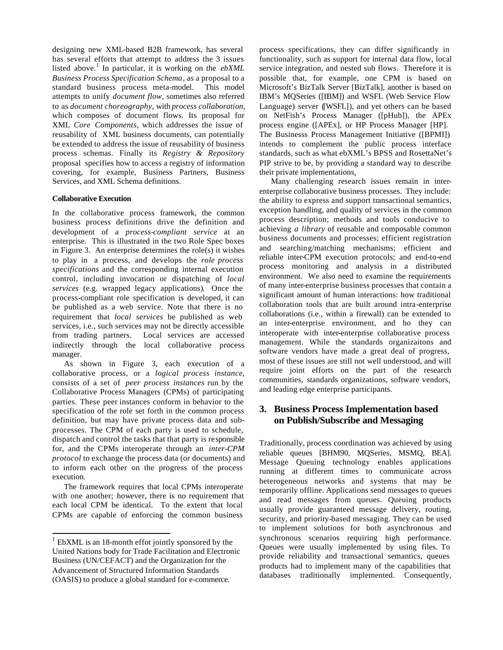designing new XML-based B2B framework, has several has several efforts that attempt to address the 3 issues listed above.<sup>1</sup> In particular, it is working on the *ebXML Business Process Specification Schema*, as a proposal to a standard business process meta-model. This model attempts to unify *document flow*, sometimes also referred to as *document choreography*, with *process collaboration*, which composes of document flows. Its proposal for XML *Core Components*, which addresses the issue of reusability of XML business documents, can potentially be extended to address the issue of reusability of business process schemas. Finally its *Registry & Repository* proposal specifies how to access a registry of information covering, for example, Business Partners, Business Services, and XML Schema definitions.

### **Collaborative Execution**

In the collaborative process framework, the common business process definitions drive the definition and development of a *process-compliant service* at an enterprise. This is illustrated in the two Role Spec boxes in Figure 3. An enterprise determines the role(s) it wishes to play in a process, and develops the *role process specifications* and the corresponding internal execution control, including invocation or dispatching of *local services* (e.g. wrapped legacy applications)*.* Once the process-compliant role specification is developed, it can be published as a web service. Note that there is no requirement that *local services* be published as web services, i.e., such services may not be directly accessible from trading partners. Local services are accessed indirectly through the local collaborative process manager.

As shown in Figure 3, each execution of a collaborative process, or a *logical process instance*, consists of a set of *peer process instances* run by the Collaborative Process Managers (CPMs) of participating parties. These peer instances conform in behavior to the specification of the role set forth in the common process definition, but may have private process data and subprocesses. The CPM of each party is used to schedule, dispatch and control the tasks that that party is responsible for, and the CPMs interoperate through an *inter-CPM protocol* to exchange the process data (or documents) and to inform each other on the progress of the process execution.

The framework requires that local CPMs interoperate with one another; however, there is no requirement that each local CPM be identical. To the extent that local CPMs are capable of enforcing the common business

l

process specifications, they can differ significantly in functionality, such as support for internal data flow, local service integration, and nested sub flows. Therefore it is possible that, for example, one CPM is based on Microsoft's BizTalk Server [BizTalk], another is based on IBM's MQSeries ([IBM]) and WSFL (Web Service Flow Language) server ([WSFL]), and yet others can be based on NetFish's Process Manager ([pHub]), the APEx process engine ([APEx], or HP Process Manager [HP]. The Businesss Process Management Initiative ([BPMI]) intends to complement the public process interface standards, such as what ebXML's BPSS and RosettaNet's PIP strive to be, by providing a standard way to describe their private implementations.

Many challenging research issues remain in interenterprise collaborative business processes. They include: the ability to express and support transactional semantics, exception handling, and quality of services in the common process description; methods and tools conducive to achieving *a library* of reusable and composable common business documents and processes; efficient registration and searching/matching mechanisms; efficient and reliable inter-CPM execution protocols; and end-to-end process monitoring and analysis in a distributed environment. We also need to examine the requirements of many inter-enterprise business processes that contain a significant amount of human interactions: how traditional collaboration tools that are built around intra-enterprise collaborations (i.e., within a firewall) can be extended to an inter-enterprise environment, and ho they can interoperate with inter-enterprise collaborative process management. While the standards organizaitons and software vendors have made a great deal of progress, most of these issues are still not well understood, and will require joint efforts on the part of the research communities, standards organizations, software vendors, and leading edge enterprise participants.

# **3. Business Process Implementation based on Publish/Subscribe and Messaging**

Traditionally, process coordination was achieved by using reliable queues [BHM90, MQSeries, MSMQ, BEA]. Message Queuing technology enables applications running at different times to communicate across heterogeneous networks and systems that may be temporarily offline. Applications send messages to queues and read messages from queues. Queuing products usually provide guaranteed message delivery, routing, security, and priority-based messaging. They can be used to implement solutions for both asynchronous and synchronous scenarios requiring high performance. Queues were usually implemented by using files. To provide reliability and transactional semantics, queues products had to implement many of the capabilities that databases traditionally implemented. Consequently,

 $1$  EbXML is an 18-month effot jointly sponsored by the United Nations body for Trade Facilitation and Electronic Business (UN/CEFACT) and the Organization for the Advancement of Structured Information Standards (OASIS) to produce a global standard for e-commerce.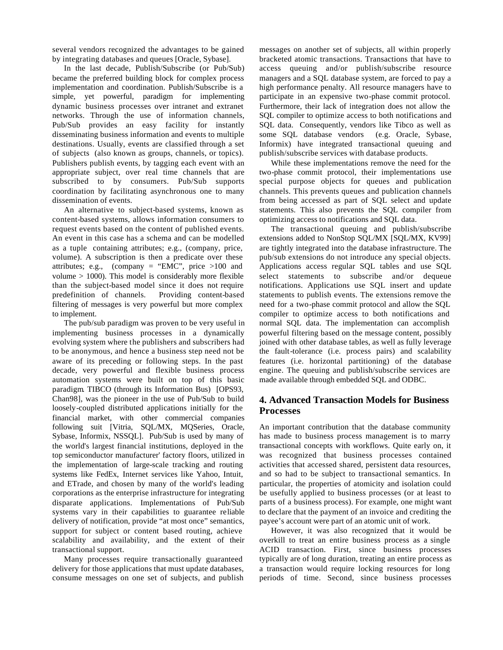several vendors recognized the advantages to be gained by integrating databases and queues [Oracle, Sybase].

In the last decade, Publish/Subscribe (or Pub/Sub) became the preferred building block for complex process implementation and coordination. Publish/Subscribe is a simple, yet powerful, paradigm for implementing dynamic business processes over intranet and extranet networks. Through the use of information channels, Pub/Sub provides an easy facility for instantly disseminating business information and events to multiple destinations. Usually, events are classified through a set of subjects (also known as groups, channels, or topics). Publishers publish events, by tagging each event with an appropriate subject, over real time channels that are subscribed to by consumers. Pub/Sub supports coordination by facilitating asynchronous one to many dissemination of events.

An alternative to subject-based systems, known as content-based systems, allows information consumers to request events based on the content of published events. An event in this case has a schema and can be modelled as a tuple containing attributes; e.g., (company, price, volume). A subscription is then a predicate over these attributes; e.g., (company  $=$  "EMC", price >100 and volume > 1000). This model is considerably more flexible than the subject-based model since it does not require predefinition of channels. Providing content-based filtering of messages is very powerful but more complex to implement.

The pub/sub paradigm was proven to be very useful in implementing business processes in a dynamically evolving system where the publishers and subscribers had to be anonymous, and hence a business step need not be aware of its preceding or following steps. In the past decade, very powerful and flexible business process automation systems were built on top of this basic paradigm. TIBCO (through its Information Bus) [OPS93, Chan98], was the pioneer in the use of Pub/Sub to build loosely-coupled distributed applications initially for the financial market, with other commercial companies following suit [Vitria, SQL/MX, MQSeries, Oracle, Sybase, Informix, NSSQL]. Pub/Sub is used by many of the world's largest financial institutions, deployed in the top semiconductor manufacturer' factory floors, utilized in the implementation of large-scale tracking and routing systems like FedEx, Internet services like Yahoo, Intuit, and ETrade, and chosen by many of the world's leading corporations as the enterprise infrastructure for integrating disparate applications. Implementations of Pub/Sub systems vary in their capabilities to guarantee reliable delivery of notification, provide "at most once" semantics, support for subject or content based routing, achieve scalability and availability, and the extent of their transactional support.

Many processes require transactionally guaranteed delivery for those applications that must update databases, consume messages on one set of subjects, and publish messages on another set of subjects, all within properly bracketed atomic transactions. Transactions that have to access queuing and/or publish/subscribe resource managers and a SQL database system, are forced to pay a high performance penalty. All resource managers have to participate in an expensive two-phase commit protocol. Furthermore, their lack of integration does not allow the SQL compiler to optimize access to both notifications and SQL data. Consequently, vendors like Tibco as well as some SQL database vendors (e.g. Oracle, Sybase, Informix) have integrated transactional queuing and publish/subscribe services with database products.

While these implementations remove the need for the two-phase commit protocol, their implementations use special purpose objects for queues and publication channels. This prevents queues and publication channels from being accessed as part of SQL select and update statements. This also prevents the SQL compiler from optimizing access to notifications and SQL data.

The transactional queuing and publish/subscribe extensions added to NonStop SQL/MX [SQL/MX, KV99] are tightly integrated into the database infrastructure. The pub/sub extensions do not introduce any special objects. Applications access regular SQL tables and use SQL select statements to subscribe and/or dequeue notifications. Applications use SQL insert and update statements to publish events. The extensions remove the need for a two-phase commit protocol and allow the SQL compiler to optimize access to both notifications and normal SQL data. The implementation can accomplish powerful filtering based on the message content, possibly joined with other database tables, as well as fully leverage the fault-tolerance (i.e. process pairs) and scalability features (i.e. horizontal partitioning) of the database engine. The queuing and publish/subscribe services are made available through embedded SQL and ODBC.

# **4. Advanced Transaction Models for Business Processes**

An important contribution that the database community has made to business process management is to marry transactional concepts with workflows. Quite early on, it was recognized that business processes contained activities that accessed shared, persistent data resources, and so had to be subject to transactional semantics. In particular, the properties of atomicity and isolation could be usefully applied to business processes (or at least to parts of a business process). For example, one might want to declare that the payment of an invoice and crediting the payee's account were part of an atomic unit of work.

However, it was also recognized that it would be overkill to treat an entire business process as a single ACID transaction. First, since business processes typically are of long duration, treating an entire process as a transaction would require locking resources for long periods of time. Second, since business processes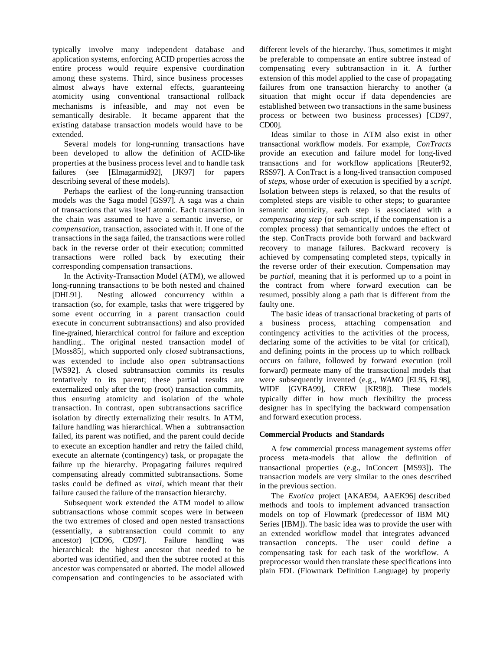typically involve many independent database and application systems, enforcing ACID properties across the entire process would require expensive coordination among these systems. Third, since business processes almost always have external effects, guaranteeing atomicity using conventional transactional rollback mechanisms is infeasible, and may not even be semantically desirable. It became apparent that the existing database transaction models would have to be extended.

Several models for long-running transactions have been developed to allow the definition of ACID-like properties at the business process level and to handle task failures (see [Elmagarmid92], [JK97] for papers describing several of these models).

Perhaps the earliest of the long-running transaction models was the Saga model [GS97]. A saga was a chain of transactions that was itself atomic. Each transaction in the chain was assumed to have a semantic inverse, or *compensation*, transaction, associated with it. If one of the transactions in the saga failed, the transactions were rolled back in the reverse order of their execution; committed transactions were rolled back by executing their corresponding compensation transactions.

In the Activity-Transaction Model (ATM), we allowed long-running transactions to be both nested and chained [DHL91]. Nesting allowed concurrency within a transaction (so, for example, tasks that were triggered by some event occurring in a parent transaction could execute in concurrent subtransactions) and also provided fine-grained, hierarchical control for failure and exception handling.. The original nested transaction model of [Moss85], which supported only *closed* subtransactions, was extended to include also *open* subtransactions [WS92]. A closed subtransaction commits its results tentatively to its parent; these partial results are externalized only after the top (root) transaction commits, thus ensuring atomicity and isolation of the whole transaction. In contrast, open subtransactions sacrifice isolation by directly externalizing their results. In ATM, failure handling was hierarchical. When a subtransaction failed, its parent was notified, and the parent could decide to execute an exception handler and retry the failed child, execute an alternate (contingency) task, or propagate the failure up the hierarchy. Propagating failures required compensating already committed subtransactions. Some tasks could be defined as *vital*, which meant that their failure caused the failure of the transaction hierarchy.

Subsequent work extended the ATM model to allow subtransactions whose commit scopes were in between the two extremes of closed and open nested transactions (essentially, a subtransaction could commit to any ancestor) [CD96, CD97]. Failure handling was hierarchical: the highest ancestor that needed to be aborted was identified, and then the subtree rooted at this ancestor was compensated or aborted. The model allowed compensation and contingencies to be associated with

different levels of the hierarchy. Thus, sometimes it might be preferable to compensate an entire subtree instead of compensating every subtransaction in it. A further extension of this model applied to the case of propagating failures from one transaction hierarchy to another (a situation that might occur if data dependencies are established between two transactions in the same business process or between two business processes) [CD97, CD00].

Ideas similar to those in ATM also exist in other transactional workflow models. For example, *ConTracts* provide an execution and failure model for long-lived transactions and for workflow applications [Reuter92, RSS97]. A ConTract is a long-lived transaction composed of *steps*, whose order of execution is specified by a *script*. Isolation between steps is relaxed, so that the results of completed steps are visible to other steps; to guarantee semantic atomicity, each step is associated with a *compensating step* (or sub-script, if the compensation is a complex process) that semantically undoes the effect of the step. ConTracts provide both forward and backward recovery to manage failures. Backward recovery is achieved by compensating completed steps, typically in the reverse order of their execution. Compensation may be *partial*, meaning that it is performed up to a point in the contract from where forward execution can be resumed, possibly along a path that is different from the faulty one.

The basic ideas of transactional bracketing of parts of a business process, attaching compensation and contingency activities to the activities of the process, declaring some of the activities to be vital (or critical), and defining points in the process up to which rollback occurs on failure, followed by forward execution (roll forward) permeate many of the transactional models that were subsequently invented (e.g., *WAMO* [EL95, EL98], WIDE [GVBA99], CREW [KR98]). These models typically differ in how much flexibility the process designer has in specifying the backward compensation and forward execution process.

### **Commercial Products and Standards**

A few commercial process management systems offer process meta-models that allow the definition of transactional properties (e.g., InConcert [MS93]). The transaction models are very similar to the ones described in the previous section.

The *Exotica* project [AKAE94, AAEK96] described methods and tools to implement advanced transaction models on top of Flowmark (predecessor of IBM MQ Series [IBM]). The basic idea was to provide the user with an extended workflow model that integrates advanced transaction concepts. The user could define a compensating task for each task of the workflow. A preprocessor would then translate these specifications into plain FDL (Flowmark Definition Language) by properly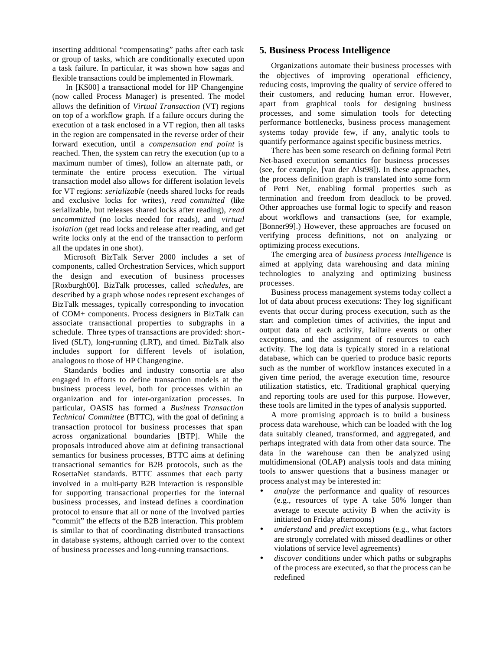inserting additional "compensating" paths after each task or group of tasks, which are conditionally executed upon a task failure. In particular, it was shown how sagas and flexible transactions could be implemented in Flowmark.

In [KS00] a transactional model for HP Changengine (now called Process Manager) is presented. The model allows the definition of *Virtual Transaction* (VT) regions on top of a workflow graph. If a failure occurs during the execution of a task enclosed in a VT region, then all tasks in the region are compensated in the reverse order of their forward execution, until a *compensation end point* is reached. Then, the system can retry the execution (up to a maximum number of times), follow an alternate path, or terminate the entire process execution. The virtual transaction model also allows for different isolation levels for VT regions: *serializable* (needs shared locks for reads and exclusive locks for writes), *read committed* (like serializable, but releases shared locks after reading), *read uncommitted* (no locks needed for reads), and *virtual isolation* (get read locks and release after reading, and get write locks only at the end of the transaction to perform all the updates in one shot).

Microsoft BizTalk Server 2000 includes a set of components, called Orchestration Services, which support the design and execution of business processes [Roxburgh00]. BizTalk processes, called *schedules*, are described by a graph whose nodes represent exchanges of BizTalk messages, typically corresponding to invocation of COM+ components. Process designers in BizTalk can associate transactional properties to subgraphs in a schedule. Three types of transactions are provided: shortlived (SLT), long-running (LRT), and timed. BizTalk also includes support for different levels of isolation, analogous to those of HP Changengine.

Standards bodies and industry consortia are also engaged in efforts to define transaction models at the business process level, both for processes within an organization and for inter-organization processes. In particular, OASIS has formed a *Business Transaction Technical Committee* (BTTC), with the goal of defining a transaction protocol for business processes that span across organizational boundaries [BTP]. While the proposals introduced above aim at defining transactional semantics for business processes, BTTC aims at defining transactional semantics for B2B protocols, such as the RosettaNet standards. BTTC assumes that each party involved in a multi-party B2B interaction is responsible for supporting transactional properties for the internal business processes, and instead defines a coordination protocol to ensure that all or none of the involved parties "commit" the effects of the B2B interaction. This problem is similar to that of coordinating distributed transactions in database systems, although carried over to the context of business processes and long-running transactions.

# **5. Business Process Intelligence**

Organizations automate their business processes with the objectives of improving operational efficiency, reducing costs, improving the quality of service offered to their customers, and reducing human error. However, apart from graphical tools for designing business processes, and some simulation tools for detecting performance bottlenecks, business process management systems today provide few, if any, analytic tools to quantify performance against specific business metrics.

There has been some research on defining formal Petri Net-based execution semantics for business processes (see, for example, [van der Alst98]). In these approaches, the process definition graph is translated into some form of Petri Net, enabling formal properties such as termination and freedom from deadlock to be proved. Other approaches use formal logic to specify and reason about workflows and transactions (see, for example, [Bonner99].) However, these approaches are focused on verifying process definitions, not on analyzing or optimizing process executions.

The emerging area of *business process intelligence* is aimed at applying data warehousing and data mining technologies to analyzing and optimizing business processes.

Business process management systems today collect a lot of data about process executions: They log significant events that occur during process execution, such as the start and completion times of activities, the input and output data of each activity, failure events or other exceptions, and the assignment of resources to each activity. The log data is typically stored in a relational database, which can be queried to produce basic reports such as the number of workflow instances executed in a given time period, the average execution time, resource utilization statistics, etc. Traditional graphical querying and reporting tools are used for this purpose. However, these tools are limited in the types of analysis supported.

A more promising approach is to build a business process data warehouse, which can be loaded with the log data suitably cleaned, transformed, and aggregated, and perhaps integrated with data from other data source. The data in the warehouse can then be analyzed using multidimensional (OLAP) analysis tools and data mining tools to answer questions that a business manager or process analyst may be interested in:

- *analyze* the performance and quality of resources (e.g., resources of type A take 50% longer than average to execute activity B when the activity is initiated on Friday afternoons)
- *understand* and *predict* exceptions (e.g., what factors are strongly correlated with missed deadlines or other violations of service level agreements)
- *discover* conditions under which paths or subgraphs of the process are executed, so that the process can be redefined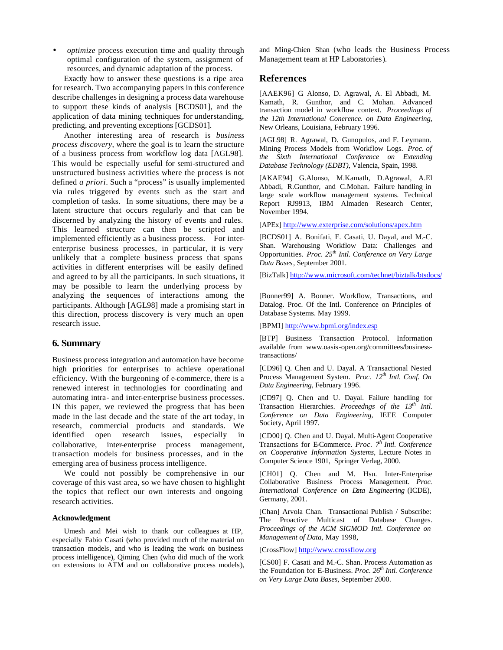• *optimize* process execution time and quality through optimal configuration of the system, assignment of resources, and dynamic adaptation of the process.

Exactly how to answer these questions is a ripe area for research. Two accompanying papers in this conference describe challenges in designing a process data warehouse to support these kinds of analysis [BCDS01], and the application of data mining techniques for understanding, predicting, and preventing exceptions [GCDS01].

Another interesting area of research is *business process discovery*, where the goal is to learn the structure of a business process from workflow log data [AGL98]. This would be especially useful for semi-structured and unstructured business activities where the process is not defined *a priori*. Such a "process" is usually implemented via rules triggered by events such as the start and completion of tasks. In some situations, there may be a latent structure that occurs regularly and that can be discerned by analyzing the history of events and rules. This learned structure can then be scripted and implemented efficiently as a business process. For interenterprise business processes, in particular, it is very unlikely that a complete business process that spans activities in different enterprises will be easily defined and agreed to by all the participants. In such situations, it may be possible to learn the underlying process by analyzing the sequences of interactions among the participants. Although [AGL98] made a promising start in this direction, process discovery is very much an open research issue.

# **6. Summary**

Business process integration and automation have become high priorities for enterprises to achieve operational efficiency. With the burgeoning of e-commerce, there is a renewed interest in technologies for coordinating and automating intra- and inter-enterprise business processes. IN this paper, we reviewed the progress that has been made in the last decade and the state of the art today, in research, commercial products and standards. We identified open research issues, especially in collaborative, inter-enterprise process management, transaction models for business processes, and in the emerging area of business process intelligence.

We could not possibly be comprehensive in our coverage of this vast area, so we have chosen to highlight the topics that reflect our own interests and ongoing research activities.

#### **Acknowledgment**

Umesh and Mei wish to thank our colleagues at HP, especially Fabio Casati (who provided much of the material on transaction models, and who is leading the work on business process intelligence), Qiming Chen (who did much of the work on extensions to ATM and on collaborative process models), and Ming-Chien Shan (who leads the Business Process Management team at HP Laboratories).

### **References**

[AAEK96] G. Alonso, D. Agrawal, A. El Abbadi, M. Kamath, R. Gunthor, and C. Mohan. Advanced transaction model in workflow context. *Proceedings of the 12th International Conerence. on Data Engineering*, New Orleans, Louisiana, February 1996.

[AGL98] R. Agrawal, D. Gunopulos, and F. Leymann. Mining Process Models from Workflow Logs. *Proc. of the Sixth International Conference on Extending Database Technology (EDBT)*, Valencia, Spain, 1998.

[AKAE94] G.Alonso, M.Kamath, D.Agrawal, A.El Abbadi, R.Gunthor, and C.Mohan. Failure handling in large scale workflow management systems. Technical Report RJ9913, IBM Almaden Research Center, November 1994.

[APEx] http://www.exterprise.com/solutions/apex.htm

[BCDS01] A. Bonifati, F. Casati, U. Dayal, and M.-C. Shan. Warehousing Workflow Data: Challenges and Opportunities. *Proc. 25th Intl. Conference on Very Large Data Bases*, September 2001.

[BizTalk] http://www.microsoft.com/technet/biztalk/btsdocs/

[Bonner99] A. Bonner. Workflow, Transactions, and Datalog. Proc. Of the Intl. Conference on Principles of Database Systems. May 1999.

[BPMI] http://www.bpmi.org/index.esp

[BTP] Business Transaction Protocol. Information available from www.oasis-open.org/committees/businesstransactions/

[CD96] Q. Chen and U. Dayal. A Transactional Nested Process Management System. *Proc. 12th Intl. Conf. On Data Engineering*, February 1996.

[CD97] Q. Chen and U. Dayal. Failure handling for Transaction Hierarchies. *Proceedngs of the 13th Intl. Conference on Data Engineering*, IEEE Computer Society, April 1997.

[CD00] Q. Chen and U. Dayal. Multi-Agent Cooperative Transactions for E-Commerce. *Proc. 7th Intl. Conference on Cooperative Information Systems*, Lecture Notes in Computer Science 1901, Springer Verlag, 2000.

[CH01] Q. Chen and M. Hsu. Inter-Enterprise Collaborative Business Process Management. *Proc. International Conference on Data Engineering* (ICDE), Germany, 2001.

[Chan] Arvola Chan. Transactional Publish / Subscribe: The Proactive Multicast of Database Changes. *Proceedings of the ACM SIGMOD Intl. Conference on Management of Data*, May 1998,

[CrossFlow] http://www.crossflow.org

[CS00] F. Casati and M.-C. Shan. Process Automation as the Foundation for E-Business. *Proc. 26th Intl. Conference on Very Large Data Bases,* September 2000.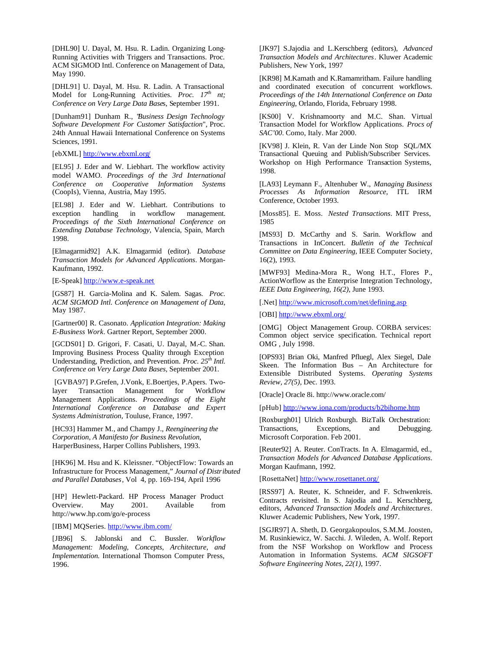[DHL90] U. Dayal, M. Hsu. R. Ladin. Organizing Long-Running Activities with Triggers and Transactions. Proc. ACM SIGMOD Intl. Conference on Management of Data, May 1990.

[DHL91] U. Dayal, M. Hsu. R. Ladin. A Transactional Model for Long-Running Activities. *Proc. 17th nt; Conference on Very Large Data Base*s, September 1991.

[Dunham91] Dunham R., "*Business Design Technology Software Development For Customer Satisfaction*", Proc. 24th Annual Hawaii International Conference on Systems Sciences, 1991.

[ebXML] http://www.ebxml.org/

[EL95] J. Eder and W. Liebhart. The workflow activity model WAMO. *Proceedings of the 3rd International Conference on Cooperative Information Systems* (CoopIs), Vienna, Austria, May 1995.

[EL98] J. Eder and W. Liebhart. Contributions to exception handling in workflow management. *Proceedings of the Sixth International Conference on Extending Database Technology*, Valencia, Spain, March 1998.

[Elmagarmid92] A.K. Elmagarmid (editor). *Database Transaction Models for Advanced Applications*. Morgan-Kaufmann, 1992.

[E-Speak] http://www.e-speak.net

[GS87] H. Garcia-Molina and K. Salem. Sagas. *Proc. ACM SIGMOD Intl. Conference on Management of Data*, May 1987.

[Gartner00] R. Casonato. *Application Integration: Making E-Business Work*. Gartner Report, September 2000.

[GCDS01] D. Grigori, F. Casati, U. Dayal, M.-C. Shan. Improving Business Process Quality through Exception Understanding, Prediction, and Prevention. *Proc. 25th Intl. Conference on Very Large Data Bases,* September 2001.

 [GVBA97] P.Grefen, J.Vonk, E.Boertjes, P.Apers. Twolayer Transaction Management for Workflow Management Applications. *Proceedings of the Eight International Conference on Database and Expert Systems Administration*, Touluse, France, 1997.

[HC93] Hammer M., and Champy J., *Reengineering the Corporation, A Manifesto for Business Revolution*, HarperBusiness, Harper Collins Publishers, 1993.

[HK96] M. Hsu and K. Kleissner. "ObjectFlow: Towards an Infrastructure for Process Management," *Journal of Distributed and Parallel Databases*, Vol 4, pp. 169-194, April 1996

[HP] Hewlett-Packard. HP Process Manager Product Overview. May 2001. Available from http://www.hp.com/go/e-process

[IBM] MQSeries. http://www.ibm.com/

[JB96] S. Jablonski and C. Bussler. *Workflow Management: Modeling, Concepts, Architecture, and Implementation.* International Thomson Computer Press, 1996.

[JK97] S.Jajodia and L.Kerschberg (editors), *Advanced Transaction Models and Architectures*. Kluwer Academic Publishers, New York, 1997

[KR98] M.Kamath and K.Ramamritham. Failure handling and coordinated execution of concurrent workflows. *Proceedings of the 14th International Conference on Data Engineering*, Orlando, Florida, February 1998.

[KS00] V. Krishnamoorty and M.C. Shan. Virtual Transaction Model for Workflow Applications. *Procs of SAC'00*. Como, Italy. Mar 2000.

[KV98] J. Klein, R. Van der Linde Non Stop SQL/MX Transactional Queuing and Publish/Subscriber Services. Workshop on High Performance Transaction Systems, 1998.

[LA93] Leymann F., Altenhuber W., *Managing Business Processes As Information Resource*, ITL IRM Conference, October 1993.

[Moss85]. E. Moss. *Nested Transactions*. MIT Press, 1985

[MS93] D. McCarthy and S. Sarin. Workflow and Transactions in InConcert. *Bulletin of the Technical Committee on Data Engineering*, IEEE Computer Society, 16(2), 1993.

[MWF93] Medina-Mora R., Wong H.T., Flores P., ActionWorflow as the Enterprise Integration Technology, *IEEE Data Engineering, 16(2),* June 1993.

[.Net] http://www.microsoft.com/net/defining.asp

[OBI] http://www.ebxml.org/

[OMG] Object Management Group. CORBA services: Common object service specification. Technical report OMG , July 1998.

[OPS93] Brian Oki, Manfred Pfluegl, Alex Siegel, Dale Skeen. The Information Bus – An Architecture for Extensible Distributed Systems. *Operating Systems Review, 27(5)*, Dec. 1993.

[Oracle] Oracle 8i. http://www.oracle.com/

[pHub] http://www.iona.com/products/b2bihome.htm

[Roxburgh01] Ulrich Roxburgh. BizTalk Orchestration: Transactions, Exceptions, and Debugging. Microsoft Corporation. Feb 2001.

[Reuter92] A. Reuter. ConTracts. In A. Elmagarmid, ed., *Transaction Models for Advanced Database Applications*. Morgan Kaufmann, 1992.

[RosettaNet] http://www.rosettanet.org/

[RSS97] A. Reuter, K. Schneider, and F. Schwenkreis. Contracts revisited. In S. Jajodia and L. Kerschberg, editors, *Advanced Transaction Models and Architectures*. Kluwer Academic Publishers, New York, 1997.

[SGJR97] A. Sheth, D. Georgakopoulos, S.M.M. Joosten, M. Rusinkiewicz, W. Sacchi. J. Wileden, A. Wolf. Report from the NSF Workshop on Workflow and Process Automation in Information Systems. *ACM SIGSOFT Software Engineering Notes, 22(1)*, 1997.